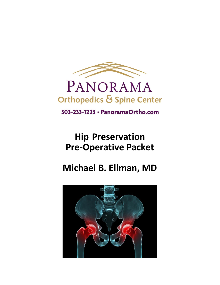

# PANORAMA Orthopedics & Spine Center

303-233-1223 · PanoramaOrtho.com

# **Hip Preservation Pre-Operative Packet**

# **Michael B. Ellman, MD**

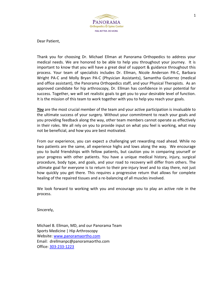

Dear Patient,

Thank you for choosing Dr. Michael Ellman at Panorama Orthopedics to address your medical needs. We are honored to be able to help you throughout your journey. It is important to know that you will have a great deal of support & guidance throughout this process. Your team of specialists includes Dr. Ellman, Nicole Anderson PA-C, Barbara Wright PA-C and Molly Bryan PA-C (Physician Assistants), Samantha Gutierrez (medical and office assistant), the Panorama Orthopedics staff, and your Physical Therapists. As an approved candidate for hip arthroscopy, Dr. Ellman has confidence in your potential for success. Together, we will set realistic goals to get you to your desirable level of function. It is the mission of this team to work together with you to help you reach your goals.

*You* are the most crucial member of the team and your active participation is invaluable to the ultimate success of your surgery. Without your commitment to reach your goals and you providing feedback along the way, other team members cannot operate as effectively in their roles. We all rely on you to provide input on what you feel is working, what may not be beneficial, and how you are best motivated.

From our experience, you can expect a challenging yet rewarding road ahead. While no two patients are the same, all experience highs and lows along the way. We encourage you to build friendships with fellow patients, but caution you in comparing yourself or your progress with other patients. You have a unique medical history, injury, surgical procedure, body type, and goals, and your road to recovery will differ from others. The ultimate goal for everyone is to return to their pre-injury level and to stay there, not just how quickly you get there. This requires a progressive return that allows for complete healing of the repaired tissues and a re-balancing of all muscles involved.

We look forward to working with you and encourage you to play an active role in the process.

Sincerely,

Michael B. Ellman, MD, and our Panorama Team Sports Medicine | Hip Arthroscopy Website: [www.panoramaortho.com](http://www.panoramaortho.com/) Email: drellmanpc@panoramaortho.com Office: [303-233-1223](tel:303-233-1223)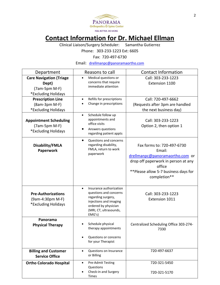

# **Contact Information for Dr. Michael Ellman**

Clinical Liaison/Surgery Scheduler: Samantha Gutierrez

Phone: 303-233-1223 Ext: 6605

Fax: 720-497-6730

Email: [drellmanpc@panoramaortho.com](mailto:drellmanpc@panoramaortho.com)

| Department                                                                        | Reasons to call                                                                                                                                                            | <b>Contact Information</b>                                                                                                                                                       |  |  |
|-----------------------------------------------------------------------------------|----------------------------------------------------------------------------------------------------------------------------------------------------------------------------|----------------------------------------------------------------------------------------------------------------------------------------------------------------------------------|--|--|
| <b>Care Navigation (Triage</b><br>Dept)<br>$(7am-5pm M-F)$<br>*Excluding Holidays | Medical questions or<br>$\bullet$<br>concerns that require<br>immediate attention                                                                                          | Call: 303-233-1223<br>Extension 1100                                                                                                                                             |  |  |
| <b>Prescription Line</b><br>(8am-3pm M-F)<br>*Excluding Holidays                  | Refills for prescriptions<br>$\bullet$<br>Change in prescriptions                                                                                                          | Call: 720-497-6662<br>(Requests after 3pm are handled<br>the next business day)                                                                                                  |  |  |
| <b>Appointment Scheduling</b><br>$(7am-5pm M-F)$<br>*Excluding Holidays           | Schedule follow up<br>$\bullet$<br>appointments and<br>office visits<br>Answers questions<br>regarding patient appts                                                       | Call: 303-233-1223<br>Option 2, then option 1                                                                                                                                    |  |  |
| Disability/FMLA<br>Paperwork                                                      | Questions and concerns<br>$\bullet$<br>regarding disability,<br>FMLA, return to work<br>paperwork                                                                          | Fax forms to: 720-497-6730<br>Email:<br>drellmanpc@panoramaortho.com or<br>drop off paperwork in person at any<br>office<br>**Please allow 5-7 business days for<br>completion** |  |  |
| <b>Pre-Authorizations</b><br>(9am-4:30pm M-F)<br>*Excluding Holidays              | Insurance authorization<br>$\bullet$<br>questions and concerns<br>regarding surgery,<br>injections and imaging<br>ordered by physician<br>(MRI, CT, ultrasounds,<br>EMG's) | Call: 303-233-1223<br>Extension 1011                                                                                                                                             |  |  |
| Panorama<br><b>Physical Therapy</b>                                               | Schedule physical<br>therapy appointments<br>Questions or concerns<br>for your Therapist                                                                                   | Centralized Scheduling Office 303-274-<br>7330                                                                                                                                   |  |  |
| <b>Billing and Customer</b><br><b>Service Office</b>                              | Questions on Insurance<br>$\bullet$<br>or Billing                                                                                                                          | 720-497-6637                                                                                                                                                                     |  |  |
| <b>Ortho Colorado Hospital</b>                                                    | Pre-Admit Testing<br>$\bullet$<br>Questions<br>Check-in and Surgery<br>Times                                                                                               | 720-321-5450<br>720-321-5170                                                                                                                                                     |  |  |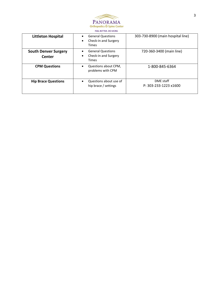

| <b>Littleton Hospital</b>             | <b>General Questions</b><br>$\bullet$<br>Check-in and Surgery<br><b>Times</b> | 303-730-8900 (main hospital line)  |
|---------------------------------------|-------------------------------------------------------------------------------|------------------------------------|
| <b>South Denver Surgery</b><br>Center | <b>General Questions</b><br>Check-in and Surgery<br><b>Times</b>              | 720-360-3400 (main line)           |
| <b>CPM Questions</b>                  | Questions about CPM,<br>problems with CPM                                     | 1-800-845-6364                     |
| <b>Hip Brace Questions</b>            | Questions about use of<br>hip brace / settings                                | DME staff<br>P: 303-233-1223 x1600 |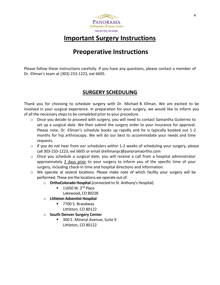

# **Important Surgery Instructions**

# **Preoperative Instructions**

Please follow these instructions carefully. If you have any questions, please contact a member of Dr. Ellman's team at (303) 233-1223, ext 6605.

## **SURGERY SCHEDULING**

Thank you for choosing to schedule surgery with Dr. Michael B. Ellman. We are excited to be involved in your surgical experience. In preparation for your surgery, we would like to inform you of all the necessary steps to be completed prior to your procedure.

- $\circ$  Once you decide to proceed with surgery, you will need to contact Samantha Gutierrez to set up a surgical date. We then submit the surgery order to your insurance for approval. Please note, Dr. Ellman's schedule books up rapidly and he is typically booked out 1-2 months for hip arthroscopy. We will do our best to accommodate your needs and time requests.
- $\circ$  If you do not hear from our schedulers within 1-2 weeks of scheduling your surgery, please call 303-233-1223; ext 6605 or email drellmanpc@panoramaortho.com
- $\circ$  Once you schedule a surgical date, you will receive a call from a hospital administrator approximately 2 days prior to your surgery to inform you of the specific time of your surgery, including check-in time and hospital directions and information.
- o We operate at several locations. Please make note of which facility your surgery will be performed. These are the locations we operate out of:
	- o **OrthoColorado Hospital** (connected to St. Anthony's Hospital)
		- $\blacksquare$  11650 W. 2<sup>nd</sup> Place Lakewood, CO 80228
			-
	- o **Littleton Adventist Hospital**
		- 7700 S. Braodway Littleton, CO 80122
	- o **South Denver Surgery Center** 
		- 300 E. Mineral Avenue, Suite 9 Littleton, CO 80122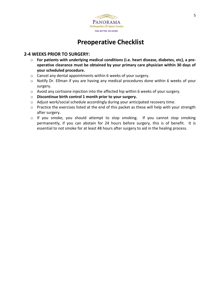

## **Preoperative Checklist**

## **2-4 WEEKS PRIOR TO SURGERY:**

- o **For patients with underlying medical conditions (i.e. heart disease, diabetes, etc), a preoperative clearance must be obtained by your primary care physician within 30 days of your scheduled procedure.**
- o Cancel any dental appointments within 6 weeks of your surgery.
- o Notify Dr. Ellman if you are having any medical procedures done within 6 weeks of your surgery.
- $\circ$  Avoid any cortisone injection into the affected hip within 6 weeks of your surgery.
- o **Discontinue birth control 1 month prior to your surgery.**
- o Adjust work/social schedule accordingly during your anticipated recovery time.
- o Practice the exercises listed at the end of this packet as these will help with your strength after surgery.
- o If you smoke, you should attempt to stop smoking. If you cannot stop smoking permanently, if you can abstain for 24 hours before surgery, this is of benefit. It is essential to not smoke for at least 48 hours after surgery to aid in the healing process.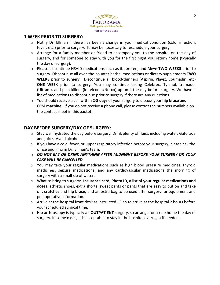

### **1 WEEK PRIOR TO SURGERY:**

- $\circ$  Notify Dr. Ellman if there has been a change in your medical condition (cold, infection, fever, etc.) prior to surgery. It may be necessary to reschedule your surgery.
- o Arrange for a family member or friend to accompany you to the hospital on the day of surgery, and for someone to stay with you for the first night you return home (typically the day of surgery).
- o Please discontinue NSAID medications such as ibuprofen, and Aleve **TWO WEEKS** prior to surgery. Discontinue all over-the-counter herbal medications or dietary supplements **TWO WEEKS** prior to surgery. Discontinue all blood-thinners (Aspirin, Plavix, Coumadin, etc) **ONE WEEK** prior to surgery. You may continue taking Celebrex, Tylenol, tramadol (Ultram), and pain killers (ie. Vicodin/Norco) up until the day before surgery. We have a list of medications to discontinue prior to surgery if there are any questions.
- o You should receive a call **within 2-3 days** of your surgery to discuss your **hip brace and CPM machine.** If you do not receive a phone call, please contact the numbers available on the contact sheet in this packet.

## **DAY BEFORE SURGERY/DAY OF SURGERY:**

- o Stay well hydrated the day before surgery. Drink plenty of fluids including water, Gatorade and juice. Avoid alcohol.
- $\circ$  If you have a cold, fever, or upper respiratory infection before your surgery, please call the office and inform Dr. Ellman's team.
- o *DO NOT EAT OR DRINK ANYTHING AFTER MIDNIGHT BEFORE YOUR SURGERY OR YOUR CASE WILL BE CANCELLED.*
- $\circ$  You may take your regular medications such as high blood pressure medicines, thyroid medicines, seizure medications, and any cardiovascular medications the morning of surgery with a small sip of water.
- o What to bring to surgery: **Insurance card, Photo ID, a list of your regular medications and doses**, athletic shoes, extra shorts, sweat pants or pants that are easy to put on and take off, **crutches** and **hip brace,** and an extra bag to be used after surgery for equipment and postoperative information.
- $\circ$  Arrive at the hospital front desk as instructed. Plan to arrive at the hospital 2 hours before your scheduled surgical time.
- o Hip arthroscopy is typically an **OUTPATIENT** surgery, so arrange for a ride home the day of surgery. In some cases, it is acceptable to stay in the hospital overnight if needed.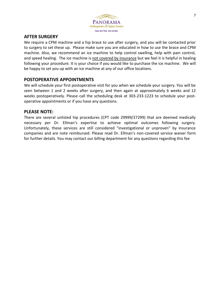

### **AFTER SURGERY**

We require a CPM machine and a hip brace to use after surgery, and you will be contacted prior to surgery to set these up. Please make sure you are educated in how to use the brace and CPM machine. Also, we recommend an ice machine to help control swelling, help with pain control, and speed healing. The ice machine is not covered by insurance but we feel it is helpful in healing following your procedure. It is your choice if you would like to purchase the ice machine. We will be happy to set you up with an ice machine at any of our office locations.

## **POSTOPERATIVE APPOINTMENTS**

We will schedule your first postoperative visit for you when we schedule your surgery. You will be seen between 1 and 2 weeks after surgery, and then again at approximately 6 weeks and 12 weeks postoperatively. Please call the scheduling desk at 303-233-1223 to schedule your postoperative appointments or if you have any questions.

## **PLEASE NOTE:**

There are several unlisted hip procedures (CPT code 29999/27299) that are deemed medically necessary per Dr. Ellman's expertise to achieve optimal outcomes following surgery. Unfortunately, these services are still considered "investigational or unproven" by insurance companies and are note reimbursed. Please read Dr. Ellman's non-covered service waiver form for further details. You may contact our billing department for any questions regarding this fee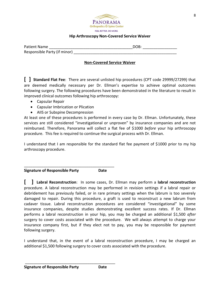

#### **Hip Arthroscopy Non-Covered Service Waiver**

| Patient Name                 | DOB: |
|------------------------------|------|
| Responsible Party (if minor) |      |

#### **Non-Covered Service Waiver**

**[ ] Standard Flat Fee**: There are several unlisted hip procedures (CPT code 29999/27299) that are deemed medically necessary per Dr. Ellman's expertise to achieve optimal outcomes following surgery. The following procedures have been demonstrated in the literature to result in improved clinical outcomes following hip arthroscopy:

- Capsular Repair
- Capsular Imbrication or Plication
- AIIS or Subspine Decompression

At least one of these procedures is performed in every case by Dr. Ellman. Unfortunately, these services are still considered "investigational or unproven" by insurance companies and are not reimbursed. Therefore, Panorama will collect a flat fee of \$1000 *before* your hip arthroscopy procedure. This fee is required to continue the surgical process with Dr. Ellman.

I understand that I am responsible for the standard flat fee payment of \$1000 prior to my hip arthroscopy procedure.

**Signature of Responsible Party Date**

\_\_\_\_\_\_\_\_\_\_\_\_\_\_\_\_\_\_\_\_\_\_\_\_\_\_\_\_\_\_\_\_\_\_\_\_\_\_\_\_\_\_

**[ ] Labral Reconstruction**: In some cases, Dr. Ellman may perform a **labral reconstruction** procedure. A labral reconstruction may be performed in revision settings if a labral repair or debridement has previously failed, or in rare primary settings when the labrum is too severely damaged to repair. During this procedure, a graft is used to reconstruct a new labrum from cadaver tissue. Labral reconstruction procedures are considered "investigational" by some insurance companies, despite studies demonstrating excellent success rates. If Dr. Ellman performs a labral reconstruction in your hip, you may be charged an additional \$1,500 *after* surgery to cover costs associated with the procedure. We will always attempt to charge your insurance company first, but if they elect not to pay, you may be responsible for payment following surgery.

I understand that, in the event of a labral reconstruction procedure, I may be charged an additional \$1,500 following surgery to cover costs associated with the procedure.

\_\_\_\_\_\_\_\_\_\_\_\_\_\_\_\_\_\_\_\_\_\_\_\_\_\_\_\_\_\_\_\_\_\_\_\_\_\_\_\_\_\_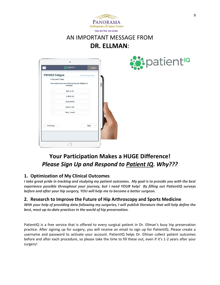

## AN IMPORTANT MESSAGE FROM **DR. ELLMAN**:

| <b>PROMIS Fatigue</b><br>In the past 7 days |                                                           | View form instructions |    |  |
|---------------------------------------------|-----------------------------------------------------------|------------------------|----|--|
|                                             | How much were you bothered by your fatigue on<br>average? |                        |    |  |
| O                                           | Not at all                                                |                        |    |  |
|                                             | A little bit                                              |                        |    |  |
| ⊙                                           | Somewhat                                                  |                        |    |  |
| o                                           | Quite a bit                                               |                        |    |  |
| $\circ$                                     | Very much                                                 |                        |    |  |
|                                             |                                                           |                        |    |  |
| Previous                                    |                                                           | Skip                   | þ. |  |



# **Your Participation Makes a HUGE Difference!** *Please Sign Up and Respond to Patient IQ. Why???*

## **1. Optimization of My Clinical Outcomes**

*I take great pride in tracking and studying my patient outcomes. My goal is to provide you with the best experience possible throughout your journey, but I need YOUR help! By filling out PatientIQ surveys before and after your hip surgery, YOU will help me to become a better surgeon.*

## **2. Research to Improve the Future of Hip Arthroscopy and Sports Medicine**

*With your help of providing data following my surgeries, I will publish literature that will help define the best, most up-to-date practices in the world of hip preservation.* 

PatientIQ is a free service that is offered to every surgical patient in Dr. Ellman's busy hip preservation practice. After signing up for surgery, you will receive an email to sign up for PatientIQ. Please create a username and password to activate your account. PatientIQ helps Dr. Ellman collect patient outcomes before and after each procedure, so please take the time to fill these out, even if it's 1-2 years after your surgery!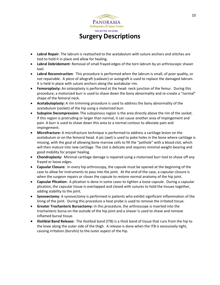

- **Labral Repair**: The labrum is reattached to the acetabulum with suture anchors and stitches are tied to hold it in place and allow for healing.
- **Labral Debridement**: Removal of small frayed edges of the torn labrum by an arthroscopic shaver tool.
- **Labral Reconstruction**: This procedure is performed when the labrum is small, of poor quality, or not repairable. A piece of allograft (cadaver) or autograft is used to replace the damaged labrum. It is held in place with suture anchors along the acetabular rim.
- **Femoroplasty:** An osteoplasty is performed at the head- neck junction of the femur. During this procedure, a motorized burr is used to shave down the bony abnormality and re-create a "normal" shape of the femoral neck.
- **Acetabuloplasty:** A rim trimming procedure is used to address the bony abnormality of the acetabulum (socket) of the hip using a motorized burr.
- **Subspine Decompression:** The subspinous region is the area directly above the rim of the socket. If this region is protruding or larger than normal, it can cause another area of impingement and pain. A burr is used to shave down this area to a normal contour to alleviate pain and impingement.
- **Microfracture:** A microfracture technique is performed to address a cartilage lesion on the acetabulum or on the femoral head. A pic (awl) is used to poke holes in the bone where cartilage is missing, with the goal of allowing bone marrow cells to fill the "pothole" with a blood clot, which will then mature into new cartilage. The clot is delicate and requires minimal weight-bearing and good mobility for proper healing.
- **Chondroplasty:** Minimal cartilage damage is repaired using a motorized burr tool to shave off any frayed or loose edges.
- **Capsular Closure:** In every hip arthroscopy, the capsule must be opened at the beginning of the case to allow for instruments to pass into the joint. At the end of the case, a capsular closure is when the surgeon repairs or closes the capsule to restore normal anatomy of the hip joint.
- **Capsular Plication:** A plication is done in some cases to tighten a loose capsule. During a capsular plication, the capsular tissue is overlapped and closed with sutures to hold the tissues together, adding stability to the joint.
- **Synovectomy**: A synovectomy is performed in patients who exhibit significant inflammation of the lining of the joint. During this procedure a heat probe is used to remove the irritated tissue.
- **Greater Trochanteric Bursectomy:** In this procedure, the arthroscope is inserted into the trochanteric bursa on the outside of the hip joint and a shaver is used to shave and remove inflamed bursal tissue.
- **Iliotibial Band Release:** The Iliotibial band (ITB) is a thick band of tissue that runs from the hip to the knee along the outer side of the thigh. A release is done when the ITB is excessively tight, causing irritation (bursitis) to the outer aspect of the hip.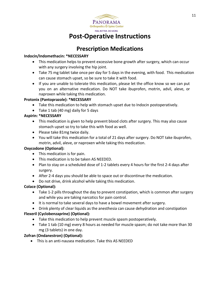

# **Post-Operative Instructions**

## **Prescription Medications**

#### **Indocin/Indomethacin: \*NECESSARY**

- This medication helps to prevent excessive bone growth after surgery, which can occur with any surgery involving the hip joint.
- Take 75 mg tablet take once per day for 5 days in the evening, with food. This medication can cause stomach upset, so be sure to take it with food.
- If you are unable to tolerate this medication, please let the office know so we can put you on an alternative medication. Do NOT take ibuprofen, motrin, advil, aleve, or naproxen while taking this medication.

#### **Protonix (Pantoprazole): \*NECESSARY**

- Take this medication to help with stomach upset due to Indocin postoperatively.
- Take 1 tab (40 mg) daily for 5 days

#### **Aspirin: \*NECESSARY**

- This medication is given to help prevent blood clots after surgery. This may also cause stomach upset so try to take this with food as well.
- Please take 81mg twice daily.
- You will take this medication for a total of 21 days after surgery. Do NOT take ibuprofen, motrin, advil, aleve, or naproxen while taking this medication.

#### **Oxycodone (Optional):**

- This medication is for pain.
- This medication is to be taken AS NEEDED.
- Plan to stay on a scheduled dose of 1-2 tablets every 4 hours for the first 2-4 days after surgery.
- After 2-4 days you should be able to space out or discontinue the medication.
- Do not drive, drink alcohol while taking this medication.

#### **Colace (Optional):**

- Take 1-2 pills throughout the day to prevent constipation, which is common after surgery and while you are taking narcotics for pain control.
- It is normal to take several daysto have a bowel movement after surgery.
- Drink plenty of clear liquids as the anesthesia can cause dehydration and constipation

#### **Flexeril (Cyclobenzaprine) (Optional):**

- Take this medication to help prevent muscle spasm postoperatively.
- Take 1 tab (10 mg) every 8 hours as needed for muscle spasm; do not take more than 30 mg (3 tablets) in one day.

#### **Zofran (Ondanestron) (Optional):**

• This is an anti-nausea medication. Take this AS NEEDED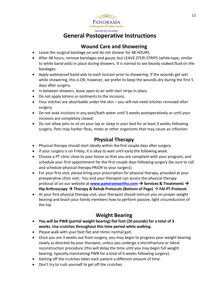

## **General Postoperative Instructions**

## **Wound Care and Showering**

- Leave the surgical bandage on and do not shower for 48 HOURS.
- After 48 hours, remove bandages and gauze, but LEAVE STERI STRIPS (white tape, similar to white band-aids) in place during showers. It is normal to see bloody soaked fluid on the bandages.
- Apply waterproof band-aids to each incision prior to showering. If the wounds get wet while showering, this is OK; however, we prefer to keep the wounds dry during the first 5 days after surgery.
- In between showers, leave open to air with steri strips in place.
- Do not apply lotions or ointments to the incisions.
- Your stitches are absorbable under the skin you will not need stitches removed after surgery.
- Do not soak incisions in any pool/bath water until 3 weeks postoperatively or until your incisions are completely closed.
- Do not allow pets to sit on your lap or sleep in your bed for at least 4 weeks following surgery. Pets may harbor fleas, mites or other organisms that may cause an infection.

## **Physical Therapy**

- Physical therapy should start ideally within the first couple days after surgery.
- If your surgery is on Friday, it is okay to wait until early the following week.
- Choose a PT clinic close to your home so that you are compliant with your program, and schedule your first appointment for the first couple days following surgery (be sure to call and schedule physical therapy PRIOR to your surgery).
- For your first visit, please bring your prescription for physical therapy, provided at your preoperative clinic visit. You and your therapist can access the physical therapy protocol at on our website at **[www.panoramaortho.com](http://www.panoramaortho.com/)** → **Services & Treatments** → **Hip Arthroscopy** → **Therapy & Rehab Protocols (Bottom of Page)** → **FAI PT Protocol.**
- At your first physical therapy visit, your therapist should instruct you on proper weight bearing and teach your family members how to perform passive, light circumduction of the hip.

## **Weight Bearing**

- **You will be PWB (partial weight bearing) flat foot (20 pounds) for a total of 3 weeks. Use crutches throughout this time period while walking.**
- Please walk with your foot flat and mimic normal gait.
- Once you are 3 weeks out from surgery, you may begin to progress your weight bearing slowly as directed by your therapist, unless you undergo a microfracture or labral reconstruction procedure (this will delay the time until you may begin full weight bearing, typically maintaining PWB for a total of 6 weeks following surgery).
- Getting off the crutches takes each patient a different amount of time.
- Don't try to rush yourself to get off the crutches.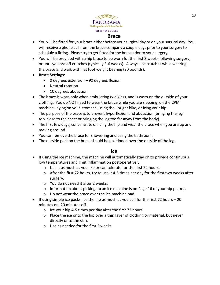

## **Brace**

- You will be fitted for your brace either before your surgical day or on your surgical day. You will receive a phone call from the brace company a couple days prior to your surgery to schedule a fitting. Please try to get fitted for the brace prior to your surgery.
- You will be provided with a hip brace to be worn for the first 3 weeks following surgery, or until you are off crutches (typically 3-6 weeks). Always use crutches while wearing the brace and walk with flat foot weight bearing (20 pounds).
- **Brace Settings**:
	- 0 degrees extension 90 degrees flexion
	- Neutral rotation
	- 10 degrees abduction
- The brace is worn only when ambulating (walking), and is worn on the outside of your clothing. You do NOT need to wear the brace while you are sleeping, on the CPM machine, laying on your stomach, using the upright bike, or icing your hip.
- The purpose of the brace is to prevent hyperflexion and abduction (bringing the leg too close to the chest or bringing the leg too far away from the body).
- The first few days, concentrate on icing the hip and wear the brace when you are up and moving around.
- You can remove the brace for showering and using the bathroom.
- The outside post on the brace should be positioned over the outside of the leg.

## **Ice**

- If using the ice machine, the machine will automatically stay on to provide continuous low temperatures and limit inflammation postoperatively
	- o Use it as much as you like or can tolerate for the first 72 hours.
	- $\circ$  After the first 72 hours, try to use it 4-5 times per day for the first two weeks after surgery.
	- o You do not need it after 2 weeks.
	- o Information about picking up an ice machine is on Page 16 of your hip packet.
	- o Do not wear the brace over the ice machine pad.
- If using simple ice packs, ice the hip as much as you can for the first 72 hours  $-20$ minutes on, 20 minutes off.
	- $\circ$  Ice your hip 4-5 times per day after the first 72 hours.
	- $\circ$  Place the ice onto the hip over a thin layer of clothing or material, but never directly onto the skin.
	- o Use as needed for the first 2 weeks.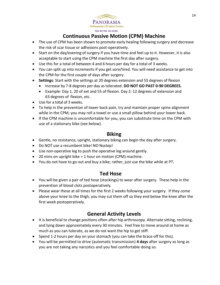

## **Continuous Passive Motion (CPM) Machine**

- The use of CPM has been shown to promote early healing following surgery and decrease the risk of scar tissue or adhesions post-operatively.
- Start on the day/evening of surgery if you have time and feel up to it. However, it is also acceptable to start using the CPM machine the first day after surgery.
- Use this for a total of between 4 and 6 hours per day for a total of 3 weeks.
- You can split up into increments if you get sore/tired. You will need assistance to get into the CPM for the first couple of days after surgery.
- **Settings**: Start with the settings at 20 degrees extension and 55 degrees of flexion
	- Increase by 7-8 degrees per day as tolerated. **DO NOT GO PAST 0-90 DEGREES.**
	- Example: Day 1, 20 of ext and 55 of flexion. Day 2: 12 degrees of extension and 63 degrees of flexion, etc.
- Use for a total of 3 weeks.
- To help in the prevention of lower back pain, try and maintain proper spine alignment while in the CPM; you may roll a towel or use a small pillow behind your lower back.
- If the CPM machine is uncomfortable for you, you can substitute time on the CPM with use of a stationary bike (see below).

## **Biking**

- Gentle, no resistance, upright, stationary biking can begin the day after surgery.
- Do NOT use a recumbent bike! NO Nustep!
- Use non-operative leg to push the operative leg around gently.
- 20 mins on upright bike = 1 hour on motion (CPM) machine.
- You do not have to go out and buy a bike; rather, just use the bike while at PT.

## **Ted Hose**

- You will be given a pair of ted hose (stockings) to wear after surgery. These help in the prevention of blood clots postoperatively.
- Please wear these at all times for the first 2 weeks following your surgery. If they come above your knee to the thigh, you may cut them off so they end below the knee after the first week postoperatively.

## **General Activity Levels**

- It is beneficial to change positions often after hip arthroscopy. Alternate sitting, reclining, and lying down approximately every 30 minutes. Feel free to move around at home as much as you can tolerate, as we do not want the hip to get stiff.
- Spend 1-2 hours per day on your stomach (you can take the brace off for this).
- You will be permitted to drive (automatic transmission) **4 days** after surgery as long as you are not taking any narcotics and you feel comfortable doing so.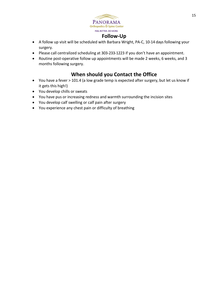

## **Follow-Up**

- A follow up visit will be scheduled with Barbara Wright, PA-C, 10-14 days following your surgery.
- Please call centralized scheduling at 303-233-1223 if you don't have an appointment.
- Routine post-operative follow up appointments will be made 2 weeks, 6 weeks, and 3 months following surgery.

## **When should you Contact the Office**

- You have a fever > 101.4 (a low grade temp is expected after surgery, but let us know if it gets this high!)
- You develop chills or sweats
- You have pus or increasing redness and warmth surrounding the incision sites
- You develop calf swelling or calf pain after surgery
- You experience any chest pain or difficulty of breathing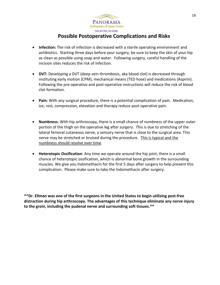

## **Possible Postoperative Complications and Risks**

- **Infection:** The risk of infection is decreased with a sterile operating environment and antibiotics. Starting three days before your surgery, be sure to keep the skin of your hip as clean as possible using soap and water. Following surgery, careful handling of the incision sites reduces the risk of infection.
- **DVT:** Developing a DVT (deep vein thrombosis, aka blood clot) is decreased through instituting early motion (CPM), mechanical means (TED hose) and medications (Aspirin). Following the pre-operative and post-operative instructions will reduce the risk of blood clot formation.
- **Pain:** With any surgical procedure, there is a potential complication of pain. Medication, ice, rest, compression, elevation and therapy reduce post-operative pain.
- **Numbness**: With hip arthroscopy, there is a small chance of numbness of the upper outer portion of the thigh on the operative leg after surgery. This is due to stretching of the lateral femoral cutaneous nerve, a sensory nerve that is close to the surgical area. This nerve may be stretched or bruised during the procedure. This is typical and the numbness should resolve over time.
- **Heterotopic Ossification**: Any time we operate around the hip joint, there is a small chance of heterotopic ossification, which is abnormal bone growth in the surrounding muscles. We give you Indomethacin for the first 5 days after surgery to help prevent this complication. Please make sure to take the Indomethacin after surgery.

**\*\*Dr. Ellman was one of the first surgeons in the United States to begin utilizing post-free distraction during hip arthroscopy. The advantages of this technique eliminate any nerve injury to the groin, including the pudenal nerve and surrounding soft tissues.\*\***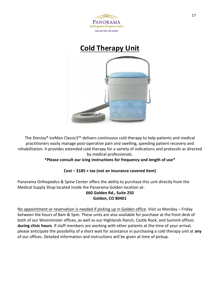



The DonJoy® IceMan Classic3™ delivers continuous cold therapy to help patients and medical practitioners easily manage post-operative pain and swelling, speeding patient recovery and rehabilitation. It provides extended cold therapy for a variety of indications and protocols as directed by medical professionals.

## **\*Please consult our icing instructions for frequency and length of use\***

## **Cost – \$185 + tax (not an insurance covered item)**

Panorama Orthopedics & Spine Center offers the ability to purchase this unit directly from the Medical Supply Shop located inside the Panorama Golden location at:

## **660 Golden Rd., Suite 250 Golden, CO 80401**

No appointment or reservation is needed if picking up in Golden office. Visit us Monday – Friday between the hours of 8am & 5pm. These units are also available for purchase at the front desk of both of our Westminster offices, as well as our Highlands Ranch, Castle Rock, and Summit offices **during clinic hours**. If staff members are working with other patients at the time of your arrival, please anticipate the possibility of a short wait for assistance in purchasing a cold therapy unit at **any** of our offices. Detailed information and instructions will be given at time of pickup.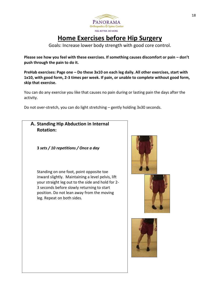

# **Home Exercises before Hip Surgery**

Goals: Increase lower body strength with good core control.

Please see how you feel with these exercises. If something causes discomfort or pain – don't **push through the pain to do it.** 

**PreHab exercises: Page one – Do these 3x10 on each leg daily. All other exercises, start with 1x10, with good form, 2-3 times per week. If pain, or unable to complete without good form, skip that exercise.** 

You can do any exercise you like that causes no pain during or lasting pain the days after the activity.

Do not over-stretch, you can do light stretching – gently holding 3x30 seconds.

**A. Standing Hip Abduction in Internal Rotation:**

**3** *sets / 10 repetitions / Once a day*

Standing on one foot, point opposite toe inward slightly. Maintaining a level pelvis, lift your straight leg out to the side and hold for 2- 3 seconds before slowly returning to start position. Do not lean away from the moving leg. Repeat on both sides.



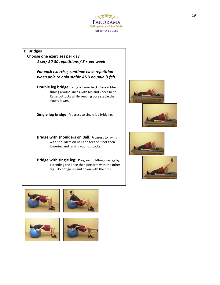

#### **B. Bridges**

 **Choose one exercises per day** *1 set/ 20-30 repetitions / 3 x per week*

> *For each exercise, continue each repetition when able to hold stable AND no pain is felt.*

**Double leg bridge:** Lying on your back place rubber tubing around knees with hip and knees bent. Raise buttocks while keeping core stable then slowly lower.

**Single leg bridge:** Progress to single leg bridging.

**Bridge with shoulders on Ball:** Progress to laying with shoulders on ball and feet on floor then lowering and raising your buttocks.

**Bridge with single leg:** Progress to lifting one leg by extending the knee then perform with the other leg. Do not go up and down with the hips.











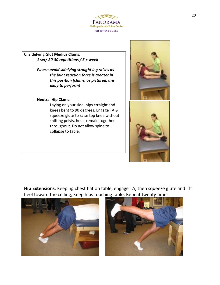

#### **C. Sidelying Glut Medius Clams:** *1 set/ 20-30 repetitions / 3 x week*

*Please avoid sidelying straight leg raises as the joint reaction force is greater in this position (clams, as pictured, are okay to perform)*

#### **Neutral Hip Clams:**

Laying on your side, hips **straight** and knees bent to 90 degrees. Engage TA & squeeze glute to raise top knee without shifting pelvis, heels remain together throughout. Do not allow spine to collapse to table.



**Hip Extensions**: Keeping chest flat on table, engage TA, then squeeze glute and lift heel toward the ceiling, Keep hips touching table. Repeat twenty times.



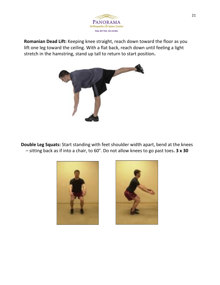

**Romanian Dead Lift:** Keeping knee straight, reach down toward the floor as you lift one leg toward the ceiling. With a flat back, reach down until feeling a light stretch in the hamstring, stand up tall to return to start position**.** 



**Double Leg Squats:** Start standing with feet shoulder width apart, bend at the knees – sitting back as if into a chair, to 60°. Do not allow knees to go past toes**. 3 x 30**



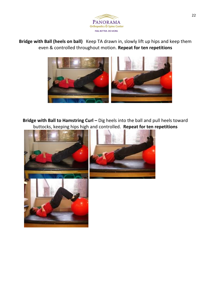

**Bridge with Ball (heels on ball)** Keep TA drawn in, slowly lift up hips and keep them even & controlled throughout motion. **Repeat for ten repetitions**



**Bridge with Ball to Hamstring Curl -** Dig heels into the ball and pull heels toward buttocks, keeping hips high and controlled. **Repeat for ten repetitions**



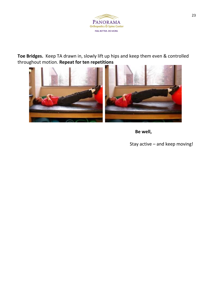

**Toe Bridges.** Keep TA drawn in, slowly lift up hips and keep them even & controlled throughout motion. **Repeat for ten repetitions**



 **Be well,** 

Stay active – and keep moving!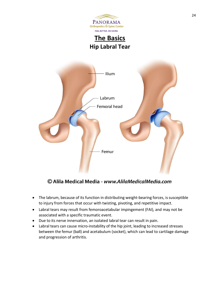

**The Basics Hip Labral Tear**



© Alila Medical Media - www.AlilaMedicalMedia.com

- The labrum, because of its function in distributing weight-bearing forces, is susceptible to injury from forces that occur with twisting, pivoting, and repetitive impact.
- Labral tears may result from femoroacetabular impingement (FAI), and may not be associated with a specific traumatic event.
- Due to its nerve innervation, an isolated labral tear can result in pain.
- Labral tears can cause micro-instability of the hip joint, leading to increased stresses between the femur (ball) and acetabulum (socket), which can lead to cartilage damage and progression of arthritis.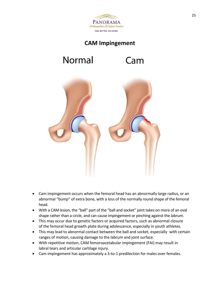

## **CAM Impingement**

# Normal

# Cam



- Cam impingement occurs when the femoral head has an abnormally large radius, or an abnormal "bump" of extra bone, with a loss of the normally round shape of the femoral head.
- With a CAM lesion, the "ball" part of the "ball and socket" joint takes on more of an oval shape rather than a circle, and can cause impingement or pinching against the labrum.
- This may occur due to genetic factors or acquired factors, such as abnormal closure of the femoral head growth plate during adolescence, especially in youth athletes.
- This may lead to abnormal contact between the ball and socket, especially with certain ranges of motion, causing damage to the labrum and joint surface.
- With repetitive motion, CAM femoroacetabular impingement (FAI) may result in labral tears and articular cartilage injury.
- Cam impingement has approximately a 3-to-1 predilection for males over females.